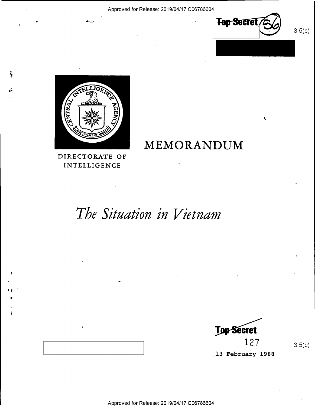

K

 $3.5(c)$ 



Y de la construction de la construction de la construction de la construction de la construction de la constru

į

ر<br>آلو

DIRECTORATE OF **INTELLIGENCE** 

# The Situation in Vietnam

-

MEMORANDUM

**Top Secret**<br>127

 $12 /$   $3.5(c)$ 

13 February 1968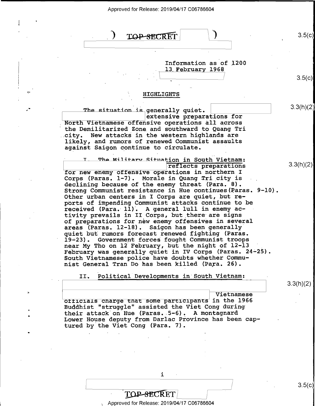| Approved for Release: 2019/04/17 C06786604 |  |
|--------------------------------------------|--|
|--------------------------------------------|--|



i

### **TOP-SECRET**

### Approved for Release: 2019/04/17 C06786604

/ s.5(¢)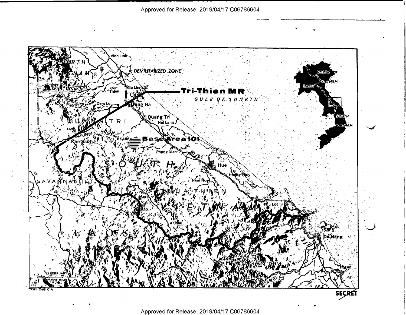$\ddot{\phantom{a}}$ 

 $\mathbf{r}$ 

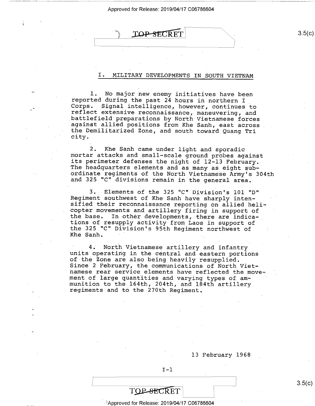### $\text{TOP-SECRET}$  3.5(c)

### I. MILITARY DEVELOPMENTS IN SOUTH VIETNAM

1. No major new enemy initiatives have been<br>reported during the past 24 hours in northern I<br>Corps. Signal intelligence, however, continues to<br>reflect extensive reconnaissance, maneuvering, and<br>battlefield preparations by N the Demilitarized Zone, and south toward Quang Tri city.

2. Khe Sanh came under light and sporadic<br>mortar attacks and small-scale ground probes against<br>its perimeter defenses the night of 12-13 February.<br>The headquarters elements and as many as eight sub-<br>ordinate regiments of t

3. Elements of the 325 "C" Division's 101 "D"<br>Reqiment southwest of Khe Sanh have sharply intensified their reconnaissance reporting on allied heli-<br>copter movements and artillery firing in support of the base. In other developments, there are indica-<br>tions of resupply activity from Laos in support of<br>the 325 "C" Division's 95th Regiment northwest of<br>Khe Sanh. g

4. North Vietnamese artillery and infantry<br>units operating in the central and eastern portions<br>of the Zone are also being heavily resupplied.<br>Since 2 February, the communications of North Viet-<br>namese rear service elements ment of large quantities and varying types of ammunition to the 164th, 204th, and 184th artillery regiments and to the 270th Regiment. .

. 13 February 1968

/

 $I-I$ 

### <sup>3</sup> Approved for Release: 2019/04/17 C06786604

 $3.5(c)$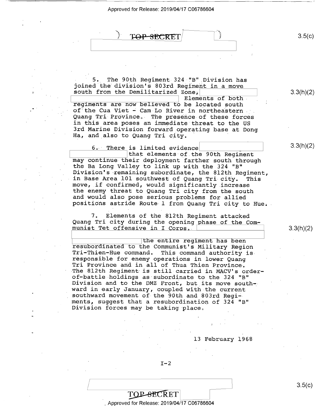<sup>A</sup> . x '  $\cdot$  k  $\text{BECRET}$   $\qquad$  3.5(c)

5. The 90th Regiment 324 "B" Division has<br>joined the division's 803rd Regiment in a move<br>south from the Demilitarized Zone,<br>Elements of both  $\overline{E}$ regiments are now believed to be located south<br>of the Cua Viet - Cam Lo River in northeastern<br>Quang Tri Province. The presence of these forces<br>in this area poses an immediate threat to the US<br>3rd Marine Division forward op

Ha, and also to Quang Tri city.

 $\frac{6.}{}$  There is limited evidence  $\frac{1}{2}$  3.3(h)(2) may continue their deployment farther south through<br>the Ba Long Valley to link up with the 324 "B"<br>Division's remaining subordinate, the 812th Regiment, in Base Area 101 southwest of Quang Tri city. This<br>move, if confirmed, would significantly increase<br>the enemy threat to Quang Tri city from the south<br>and would also pose serious problems for allied<br>positions astride Route

7. Elements of the 812th Regiment attacked<br>Quang Tri city during the opening phase of the Communist Tet offensive in I Corps.

|<br>| the entire regiment has been<br>| resubordinated to the Communist's Military Region Tri-Thien-Hue command. This command authority is<br>responsible for enemy operations in lower Quang<br>Tri Province and in all of Thua Thien Province. The 812th Regiment is still carried in MACV's order-<br>of-battle holdings as subordinate to the 324 "B"<br>Division and to the DMZ Front, but its move southward in early January, coupled with the current<br>southward movement of the 90th and 803rd Regiments, suggest that a resubordination of 324 "B" Division forces may be taking place.

l3 February l968

 $I-2$ 

; Approved for Release: 2019/04/17 C06786604

TOP-SECRET

 $3.3(h)(2)$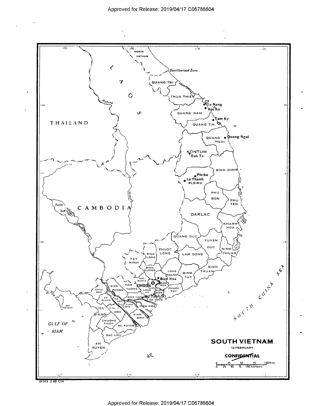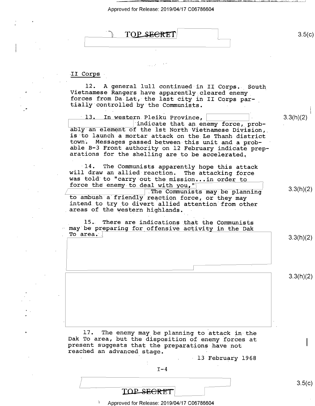

II Corps

l2. A general lull continued in II Corps. South Vietnamese Rangers have apparently cleared enemy<br>forces from Da Lat, the last city in II Corps par-<br>tially controlled by the Communists.

10 P

ably an element of the 1st North Vietnamese Division,<br>is to launch a mortar attack on the Le Thanh district<br>town. Messages passed between this unit and a prob-<br>able B-3 Front authority on 12 February indicate prep-<br>aration 13. In western Pleiku Province,  $\vert$  (3.3(h)(2) indicate that an enemy force, prob-

14. The Communists apparently hope this attack will draw an allied reaction. The attacking force was told to "carry out the mission...in order to force the enemy to deal with you," force the enemy to deal with you,"<br>The Communists may be planning and  $(3.3(h)(2))$ 

\ The Comunists may be planning to ambush a friendly reaction force, or they may intend to try to divert allied attention from other areas of the western highlands. -

15. There are indications that the Communists<br>may be preparing for offensive activity in the Dak To area.  $\vert$ 

 $3.3(h)(2)$ 

\_\_\_;\_ '\_\_—\_— \_\_--.\_ \_~- ..—- <sup>1</sup>

 $3.3(h)(2)$ 

17. The enemy may be planning to attack in the Dak To area, but the disposition of enemy forces at present suggests that the preparations have not reached an advanced stage.

13 February 1968

 $I-4$ 

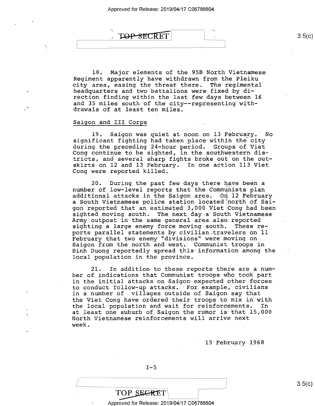

l8. Major elements of the.95B North Vietnamese Regiment apparently have withdrawn from the Pleiku city area, easing the threat there. The regimental headquarters and two battalions were fixed by direction finding within the last few days between l6 and 35 miles south of the city——representing withdrawals of at least ten miles.

### Saigon and III Corps

 $\overline{\phantom{a}}$ 

19. Saigon was quiet at noon.on l3 February. No significant fighting had taken.place within the'city during the preceding 24-hour period. Groups of Viet Cong continue to be sighted, in the southwestern districts, and several sharp fights broke out on the outskirts on 12 and 13 February. In one action 113 Viet Cong were reported killed.

20. During the past few days there have been a number of low-level reports that the Communists plan additional attacks in the Saigon area. On l2 February a South Vietnamese police station located north of Saigon reported that an estimated 3,000 Viet Cong had been sighted moving south. The next day a South Vietnamese Army outpost in the same general area also reported<br>sighting a large enemy force moving south. These resighting a large enemy force moving south. ports parallel statements by civilian travelers on ll February that two enemy."divisions" were moving on. Saigon from the north and west. Communist troops in Binh Duong reportedly spread this information among the local population in the province.

21. In addition to these reports there are a number of indications that Communist troops who took part in the.initial attacks.on Saigon expected other forces. to conduct follow—up attacks.: For example, civilians in a number of villages outside of Saigon say that the Viet Cong have ordered their troops to mix in with<br>the local population and wait for reinforcements. In the local population and wait for reinforcements. at least one suburb of Saigon the rumor is that 15,000- North Vietnamese reinforcements will arrive next<br>week. week.

13 February 1968

 $I-5$ 

 $3.5(c)$ 

TOP SEGRET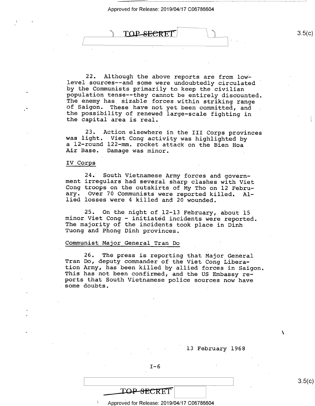$\mathbb{R}$  TOP SECRET 3.5(c)  $\sqcup$ 

22. Although the above reports are from low-<br>level sources--and some were undoubtedly circulated<br>by the Communists primarily to keep the civilian population tense--they cannot be entirely discounted.<br>The enemy has sizable forces within striking range<br>of Saigon. These have not yet been committed, and<br>the possibility of renewed large-scale fighting in<br>the capital area

23. Action elsewhere in the III Corps provinces was light. Viet Cong activity was highlighted by a l2-round 122-mm. rocket attack on the Bien Hoa Air Base. Damage was minor.

### IV Corps

7

24. South Vietnamese Army forces and govern-<br>ment irregulars had several sharp clashes with Viet<br>Cong troops on the outskirts of My Tho on l2 Febru-<br>ary. Over 70 Communists were reported killed. Allied losses were 4 killed and 20 wounded.

25. On the night of 12-13 February, about 15 minor Viet Cong - initiated incidents were reported. The majority of the incidents took place in Dinh Tuong and Phong Dinh provinces.

### Communist Major General Tran Do

26. The press is reporting that Major General<br>Tran Do, deputy commander of the Viet Cong Libera-<br>tion Army, has been killed by allied forces in Saigon.<br>This has not been confirmed, and the US Embassy re-<br>ports that South V

 $I-6$ 

 $\lambda$ 

### TOP SECRET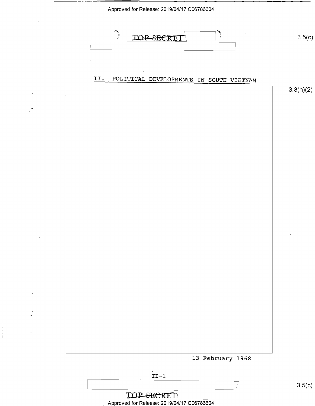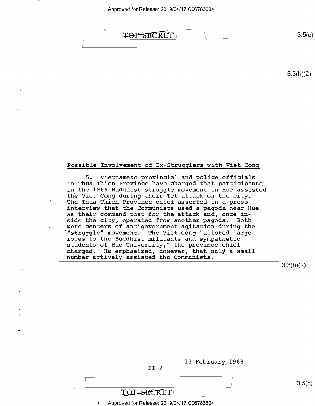

 $3.5(c)$ 

 $3.3(h)(2)$ 

Possible Involvement of Ex-Strugglers with Viet Cong

5. Vietnamese provincial and police officials in Thua Thien Province have charged that participants in the l966\_Buddhist struggle movement in Hue assisted the Viet Cong during their Tet attack on the city. The Thua Thien Province chief asserted in a press interview that the Communists used a pagoda near Hue as their command post for the attack and, once inside the city, operated from another pagoda. Both were centers of antigovernment agitation during the "struggle" movement. The Viet Cong "alloted large roles to the Buddhist militants and sympathetic students of Hue University," the province chief<br>charged. He emphasized, however, that only a small number actively assisted the Communists.

13 February 1968  $II-2$ / 3.3(h)(2)  $3.5(c)$ 

Approved for Release: 2019/04/17 C06786604

TOP-SECRET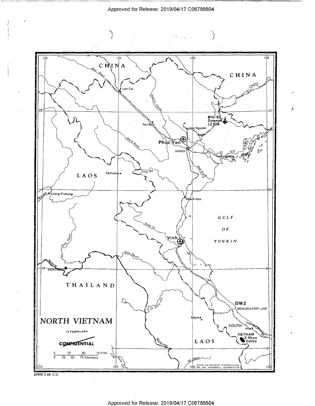化甲基





 $\sim$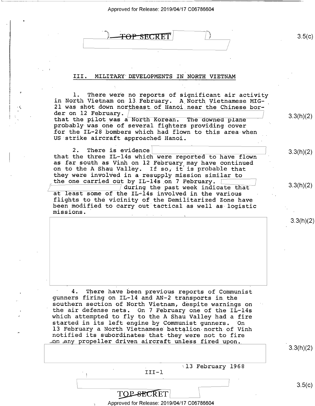| E <del>TOP SECRET</del> |  |
|-------------------------|--|
|                         |  |

### III. MILITARY DEVELOPMENTS IN.NORTH VIETNAM

l. There were no reports of significant air activity in North Vietnam on l3.February. A North Vietnamese MIG-21 was shot down northeast of Hanoi near the Chinese bor-<br>der on 12 February.  $\sqrt{ }$ der on  $12$  rebruary.<br>that the pilot was a North Korean. The downed plane  $(2)$ probably was one of several fighters providing~cover for the IL-28 bombers which had flown to this area when US strike aircraft approached Hanoi.

2. There is evidence  $\vert$  3.3(h)(2) that the three IL-14s which were reported to have flown as far south as Vinh on 12 February may have continued on to the A Shau Valley. If so, it is probable that they were involved in a resupply mission similar to the one carried out by IL-14s on 7 February.  $\boxed{ }$  3.3(h)(2) at least some of the IL-14s involved in the various flights to the vicinity of the Demilitarized Zone have been modified to carry out tactical as well as logistic missions.'

4. There have been previous reports of Communist<br>gunners firing on IL-14 and AN-2 transports in the<br>southern section of North Vietnam, despite warnings on the air defense nets. On 7 February one of the IL-14s<br>which attempted to fly to the A Shau Valley had a fire<br>started in its left engine by Communist gunners. On<br>13 February a North Vietnamese battalion north of Vinh notified its subordinates that they were not to fire ron any propeller driven aircraft unless fired upon.

. 113 February 1968 III—l

3.3(h)(2)

3.3(h)(2)

 $\overline{3.5}$ (C)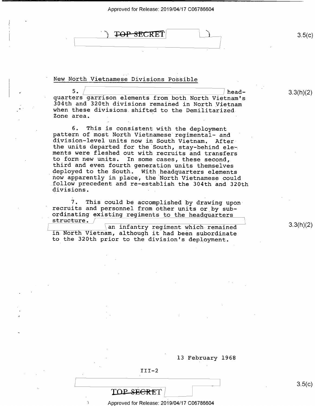| , T <del>OP SEC</del> RET | 3.5(c) |
|---------------------------|--------|
|                           |        |

New North Vietnamese Divisions Possible .

5. / authority of the ad-<br>quarters garrison elements from both North Vietnam's 304th and 320th divisions remained in North Vietnam<br>when these divisions shifted to the Demilitarized Zone area.

6. This is consistent with the deployment pattern of most North Vietnamese regimental- and ' the units departed for the South, stay-behind ele-<br>ments were fleshed out with recruits and transfers<br>to form new units. In some cases, these second,<br>third and even fourth generation units themselves<br>deployed to the South.

7. This could be accomplished by drawing upon<br>recruits and personnel from other units or by sub-<br>ordinating existing regiments to the headquarters<br>structure.<br>an infantry regiment which remained<br>in North Vietnam, although i

to the 320th prior to the division's deployment.

13 February 1968

III-2

**TOP SECRET** 

 $\sqcup$ 

Approved for Release: 2019/04/17 C06786604

\_ s.5(¢)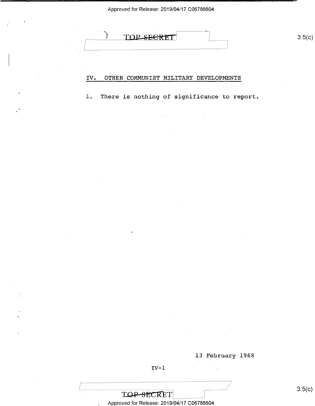

#### IV. OTHER COMMUNIST MILITARY DEVELOPMENTS

 $1\,$  . There is nothing of significance to report.

13 February 1968

 $3.5(c)$ 

 $\frac{1}{2}$ 

Approved for Release: 2019/04/17 C06786604

TOP-SECRET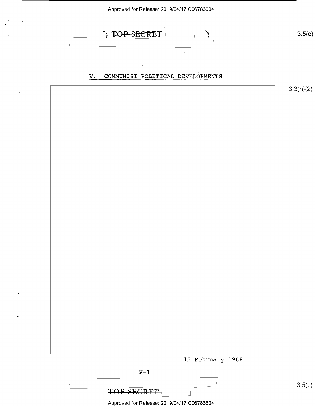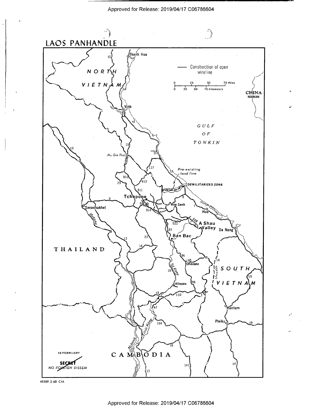

69589 2-68 CIA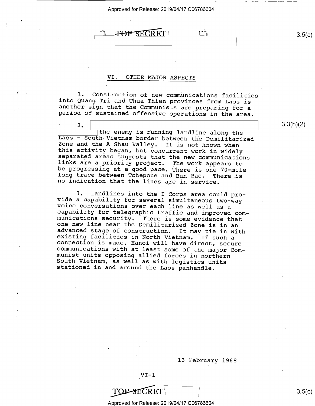### VI. OTHER MAJOR ASPECTS

l. Construction of new communications facilities into Quang Tri and Thua Thien provinces from Laos is another sign that the Communists are preparing for a period of sustained offensive operations in the area.

2. The enemy is running landline along the<br>
Laos - South Vietnam border between the Demilitarized<br>
Zone and the A Shau Valley. It is not known when<br>
this activity began, but concurrent work in widely<br>
separated areas sugge

. 2\_

3. Landlines into the I Corps area could pro-<br>vide a capability for several simultaneous two-way<br>voice conversations over each line as well as a<br>capability for telegraphic traffic and improved com-<br>munications security. Th

l3 February 1968



Approved for Release: 2019/04/17 C06786604

 $\angle$   $\angle$  3.5(c)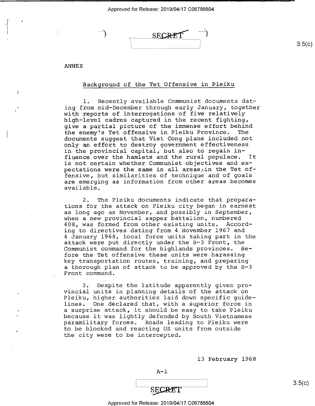$\sqrt{2}$ **SECRET** 

ANNEX

'8

 $\blacksquare$ 

 $\ddot{\phantom{0}}$ 

v

w.

### Background of the Tet Offensive in Pleiku

1. Recently available Communist documents dating from mid—December through early January, together with reports of interrogations of five relatively high-level cadres captured in the recent fighting, give a partial picture of the immense effort behind the enemy's Tet offensive in Pleiku Province. documents suggest that Viet Cong plans included not only an effort to destroy government effectiveness in the provincial capital, but also to regain influence over the hamlets and the rural populace. It is not certain whether Communist objectives and expectations were the same in all areas in the Tet offensive, but similarities of technique and of goals' are emerging as information from other areas becomes available.

2. The Pleiku documents indicate that preparations for the attack on Pleiku city began in earnest as long ago as November, and possibly in September, when a new provincial sapper battalion, numbered 408, was formed from other existing units. According to directives dating from 4 November l967 and <sup>4</sup>January 1968, local force units taking part in the attack were put directly under the B-3 Front, the<br>Communist command for the highlands provinces. Be-Communist command for the highlands provinces. fore the Tet offensive these units were harassing key transportation routes, training, and preparing" a thorough plan of attack to be approved by the B-3 Front command.

3. Despite the latitude apparently given provincial units in planning details of the attack on Pleiku, higher authorities laid down specific guidelines. One declared that, with a superior force in a surprise attack, it should be easy to take Pleiku because it was lightly defended by South Vietnamese paramilitary forces. Roads leading to Pleiku were to be blocked and reacting US units from outside the city were to be intercepted.

13 February 1968



 $3.5(c)$ 

 $3.5(c)$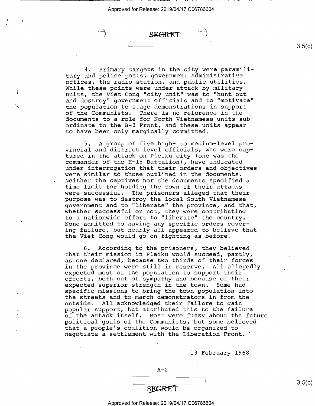I

I

C

e~

SEERTT  $\overline{\phantom{a}}$  /  $\overline{\phantom{a}}$  /  $\overline{\phantom{a}}$  /  $\overline{\phantom{a}}$  /  $\overline{\phantom{a}}$  /  $\overline{\phantom{a}}$  /  $\overline{\phantom{a}}$  /  $\overline{\phantom{a}}$  /  $\overline{\phantom{a}}$  /  $\overline{\phantom{a}}$  /  $\overline{\phantom{a}}$  /  $\overline{\phantom{a}}$  /  $\overline{\phantom{a}}$  /  $\overline{\phantom{a}}$  /  $\overline{\phantom{a}}$  /  $\overline{\phantom{a}}$ 

4. Primary targets in the city were paramilitary and police posts, government administrative offices, the radio station, and public utilities. While these points were under attack by military units, the Viet Cong "city unit" was to "hunt out and destroy" government officials and to "motivate" the population to stage demonstrations in support of the Communists. There is no reference in the. documents to a role for North Vietnamese units subordinate to the B-3 Front, and these units appear to have been only marginally committed.

5. A group of five high- to medium—level provincial and district level officials, who were captured in the attack on Pleiku city (one was the commander of the H-15 Battalion), have indicated under interrogation that their orders and objectives were similar to those outlined in the documents. Neither the captives nor the documents specified a time limit for holding the town if their attacks were successful. The prisoners alleged that their purpose was to destroy the local South Vietnamese<br>government and to "liberate" the province, and that, whether successful or not, they were contributing to a nationwide effort to "liberate" the country. None admitted to having any specific orders covering failure, but nearly all appeared to believe that the Viet Cong would go on fighting as before.

6. According to the prisoners, they believed that their mission in Pleiku would succeed, partly, as one declared, because two thirds of their forces<br>in the province were still in reserve. All allegedly expected most of the population to support their efforts, both out of sympathy and because of their expected superior strength in the town. Some had specific missions to bring the town population into the streets and to march demonstrators in from the outside. All acknowledged their failure to gain popular support, but attributed this to the failure of the attack itself. Most were fuzzy about the future political goals of the Communists, but some believed<br>that a people's coalition would be organized to negotiate a settlement with the Liberation Front.'

l3 February 1968

## SEGRET

### Approved for Release: 2019/04/17 C06786604 .

 $3.5(c)$ 

 $3.5(c)$